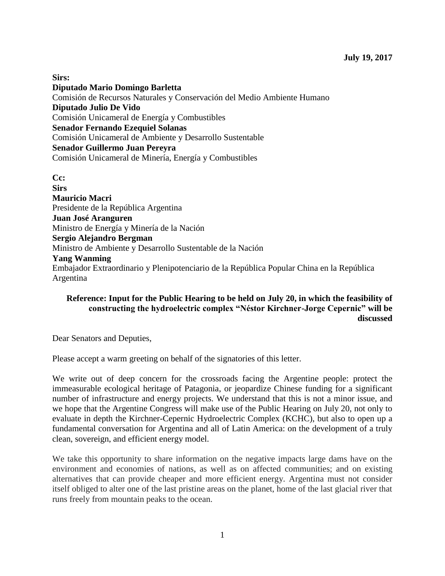**Sirs: Diputado Mario Domingo Barletta** Comisión de Recursos Naturales y Conservación del Medio Ambiente Humano **Diputado Julio De Vido** Comisión Unicameral de Energía y Combustibles **Senador Fernando Ezequiel Solanas**  Comisión Unicameral de Ambiente y Desarrollo Sustentable **Senador Guillermo Juan Pereyra**  Comisión Unicameral de Minería, Energía y Combustibles

**Cc: Sirs Mauricio Macri**  Presidente de la República Argentina **Juan José Aranguren** Ministro de Energía y Minería de la Nación **Sergio Alejandro Bergman** Ministro de Ambiente y Desarrollo Sustentable de la Nación **Yang Wanming** Embajador Extraordinario y Plenipotenciario de la República Popular China en la República Argentina

## **Reference: Input for the Public Hearing to be held on July 20, in which the feasibility of constructing the hydroelectric complex "Néstor Kirchner-Jorge Cepernic" will be discussed**

Dear Senators and Deputies,

Please accept a warm greeting on behalf of the signatories of this letter.

We write out of deep concern for the crossroads facing the Argentine people: protect the immeasurable ecological heritage of Patagonia, or jeopardize Chinese funding for a significant number of infrastructure and energy projects. We understand that this is not a minor issue, and we hope that the Argentine Congress will make use of the Public Hearing on July 20, not only to evaluate in depth the Kirchner-Cepernic Hydroelectric Complex (KCHC), but also to open up a fundamental conversation for Argentina and all of Latin America: on the development of a truly clean, sovereign, and efficient energy model.

We take this opportunity to share information on the negative impacts large dams have on the environment and economies of nations, as well as on affected communities; and on existing alternatives that can provide cheaper and more efficient energy. Argentina must not consider itself obliged to alter one of the last pristine areas on the planet, home of the last glacial river that runs freely from mountain peaks to the ocean.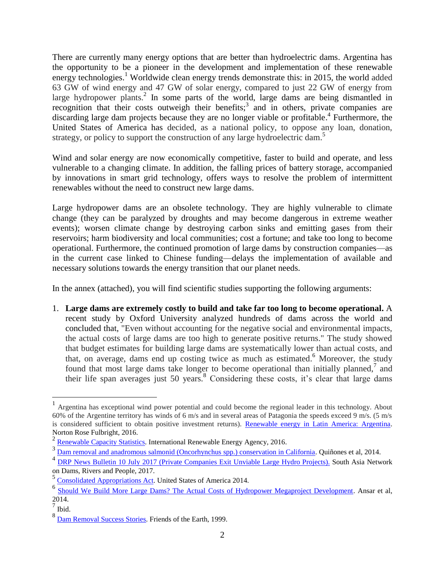There are currently many energy options that are better than hydroelectric dams. Argentina has the opportunity to be a pioneer in the development and implementation of these renewable energy technologies.<sup>1</sup> Worldwide clean energy trends demonstrate this: in 2015, the world added 63 GW of wind energy and 47 GW of solar energy, compared to just 22 GW of energy from large hydropower plants.<sup>2</sup> In some parts of the world, large dams are being dismantled in recognition that their costs outweigh their benefits;<sup>3</sup> and in others, private companies are discarding large dam projects because they are no longer viable or profitable.<sup>4</sup> Furthermore, the United States of America has decided, as a national policy, to oppose any loan, donation, strategy, or policy to support the construction of any large hydroelectric dam.<sup>5</sup>

Wind and solar energy are now economically competitive, faster to build and operate, and less vulnerable to a changing climate. In addition, the falling prices of battery storage, accompanied by innovations in smart grid technology, offers ways to resolve the problem of intermittent renewables without the need to construct new large dams.

Large hydropower dams are an obsolete technology. They are highly vulnerable to climate change (they can be paralyzed by droughts and may become dangerous in extreme weather events); worsen climate change by destroying carbon sinks and emitting gases from their reservoirs; harm biodiversity and local communities; cost a fortune; and take too long to become operational. Furthermore, the continued promotion of large dams by construction companies—as in the current case linked to Chinese funding—delays the implementation of available and necessary solutions towards the energy transition that our planet needs.

In the annex (attached), you will find scientific studies supporting the following arguments:

1. **Large dams are extremely costly to build and take far too long to become operational.** A recent study by Oxford University analyzed hundreds of dams across the world and concluded that, "Even without accounting for the negative social and environmental impacts, the actual costs of large dams are too high to generate positive returns." The study showed that budget estimates for building large dams are systematically lower than actual costs, and that, on average, dams end up costing twice as much as estimated. <sup>6</sup> Moreover, the study found that most large dams take longer to become operational than initially planned,<sup>7</sup> and their life span averages just 50 years. <sup>8</sup> Considering these costs, it's clear that large dams

<sup>1</sup> Argentina has exceptional wind power potential and could become the regional leader in this technology. About 60% of the Argentine territory has winds of 6 m/s and in several areas of Patagonia the speeds exceed 9 m/s. (5 m/s is considered sufficient to obtain positive investment returns). [Renewable energy in Latin America: Argentina.](http://www.nortonrosefulbright.com/knowledge/publications/134763/renewable-energy-in-latin-america-argentina) Norton Rose Fulbright, 2016.

<sup>&</sup>lt;sup>2</sup> [Renewable Capacity Statistics.](http://www.irena.org/DocumentDownloads/Publications/IRENA_RE_Capacity_Statistics_2016.pdf) International Renewable Energy Agency, 2016.

<sup>&</sup>lt;sup>3</sup> [Dam removal and anadromous salmonid \(Oncorhynchus spp.\) conservation in California.](https://watershed.ucdavis.edu/files/biblio/art%253A10.1007%252Fs11160-014-9359-5.pdf) Quiñones et al, 2014.

<sup>&</sup>lt;sup>4</sup> [DRP News Bulletin 10 July 2017 \(Private Companies Exit Unviable Large Hydro](https://sandrp.wordpress.com/2017/07/10/drp-news-bulletin-10-july-2017-private-companies-exit-unviable-large-hydro-projects/) Projects). South Asia Network on Dams, Rivers and People, 2017.

<sup>5</sup> [Consolidated Appropriations Act.](http://docs.house.gov/billsthisweek/20140113/CPRT-113-HPRT-RU00-h3547-hamdt2samdt_xml.pdf) United States of America 2014.

<sup>&</sup>lt;sup>6</sup> [Should We Build More Large Dams? The Actual Costs of Hydropower Megaproject Development.](https://papers.ssrn.com/sol3/papers.cfm?abstract_id=2406852) Ansar et al, 2014.<br><sup>7</sup> Ibid.

<sup>&</sup>lt;sup>8</sup> [Dam Removal Success Stories.](https://www.michigan.gov/documents/dnr/damsuccess_513764_7.pdf) Friends of the Earth, 1999.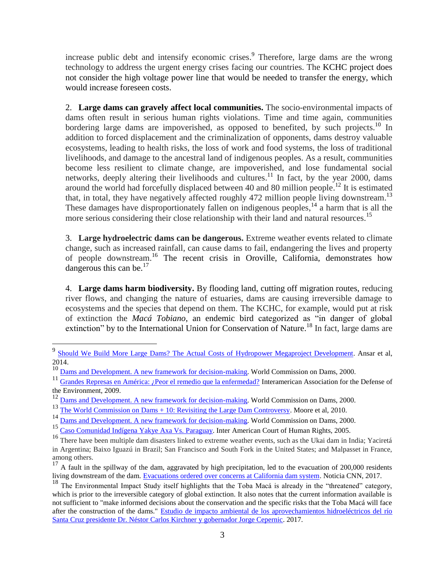increase public debt and intensify economic crises.<sup>9</sup> Therefore, large dams are the wrong technology to address the urgent energy crises facing our countries. The KCHC project does not consider the high voltage power line that would be needed to transfer the energy, which would increase foreseen costs.

2. **Large dams can gravely affect local communities.** The socio-environmental impacts of dams often result in serious human rights violations. Time and time again, communities bordering large dams are impoverished, as opposed to benefited, by such projects.<sup>10</sup> In addition to forced displacement and the criminalization of opponents, dams destroy valuable ecosystems, leading to health risks, the loss of work and food systems, the loss of traditional livelihoods, and damage to the ancestral land of indigenous peoples. As a result, communities become less resilient to climate change, are impoverished, and lose fundamental social networks, deeply altering their livelihoods and cultures.<sup>11</sup> In fact, by the year 2000, dams around the world had forcefully displaced between 40 and 80 million people.<sup>12</sup> It is estimated that, in total, they have negatively affected roughly 472 million people living downstream.<sup>13</sup> These damages have disproportionately fallen on indigenous peoples,<sup>14</sup> a harm that is all the more serious considering their close relationship with their land and natural resources.<sup>15</sup>

3. **Large hydroelectric dams can be dangerous.** Extreme weather events related to climate change, such as increased rainfall, can cause dams to fail, endangering the lives and property of people downstream. <sup>16</sup> The recent crisis in Oroville, California, demonstrates how dangerous this can be. $^{17}$ 

4. **Large dams harm biodiversity.** By flooding land, cutting off migration routes, reducing river flows, and changing the nature of estuaries, dams are causing irreversible damage to ecosystems and the species that depend on them. The KCHC, for example, would put at risk of extinction the *Macá Tobiano*, an endemic bird categorized as "in danger of global extinction" by to the International Union for Conservation of Nature.<sup>18</sup> In fact, large dams are

<sup>&</sup>lt;sup>9</sup> [Should We Build More Large Dams? The Actual Costs of Hydropower Megaproject Development.](https://papers.ssrn.com/sol3/papers.cfm?abstract_id=2406852) Ansar et al, 2014.

<sup>&</sup>lt;sup>10</sup> [Dams and Development. A new framework for decision-making.](https://www.internationalrivers.org/sites/default/files/attached-files/world_commission_on_dams_final_report.pdf) World Commission on Dams, 2000.

<sup>11</sup> [Grandes Represas en América: ¿Peor el remedio que la enfermedad?](http://www.aida-americas.org/sites/default/files/InformeAIDA_GrandesRepreseas_BajaRes.pdf) Interamerican Association for the Defense of the Environment, 2009.

<sup>&</sup>lt;sup>12</sup> [Dams and Development. A new framework for decision-making.](https://www.internationalrivers.org/sites/default/files/attached-files/world_commission_on_dams_final_report.pdf) World Commission on Dams, 2000.

<sup>&</sup>lt;sup>13</sup> [The World Commission on Dams + 10: Revisiting the Large Dam Controversy.](http://www.water-alternatives.org/index.php/volume3/v3issue2/79-a3-2-2/file) Moore et al, 2010.

<sup>&</sup>lt;sup>14</sup> [Dams and Development. A new framework for decision-making.](https://www.internationalrivers.org/sites/default/files/attached-files/world_commission_on_dams_final_report.pdf) World Commission on Dams, 2000.

<sup>15</sup> [Caso Comunidad Indígena Yakye Axa Vs. Paraguay.](http://www.corteidh.or.cr/docs/casos/articulos/seriec_125_esp.pdf) Inter American Court of Human Rights, 2005.

<sup>&</sup>lt;sup>16</sup> There have been multiple dam disasters linked to extreme weather events, such as the Ukai dam in India; Yaciretá in Argentina; Baixo Iguazú in Brazil; San Francisco and South Fork in the United States; and Malpasset in France, among others.

 $17$  A fault in the spillway of the dam, aggravated by high precipitation, led to the evacuation of 200,000 residents living downstream of the dam. [Evacuations ordered over concerns at California dam system.](http://edition.cnn.com/2017/02/12/us/california-oroville-dam-failure/index.html) Noticia CNN, 2017.

<sup>&</sup>lt;sup>18</sup> The Environmental Impact Study itself highlights that the Toba Macá is already in the "threatened" category, which is prior to the irreversible category of global extinction. It also notes that the current information available is not sufficient to "make informed decisions about the conservation and the specific risks that the Toba Macá will face after the construction of the dams." Estudio de impacto ambiental de los aprovechamientos hidroeléctricos del río [Santa Cruz presidente Dr. Néstor Carlos Kirchner y gobernador Jorge Cepernic.](https://www.minem.gob.ar/prensa/26446/estudio-de-impacto-ambiental-de-los-aprovechamientos-hidroelectricos-del-rio-santa-cruz-presidente-dr-nestor-carlos-kirchner-y-gobernador-jorge-cepernic.html) 2017.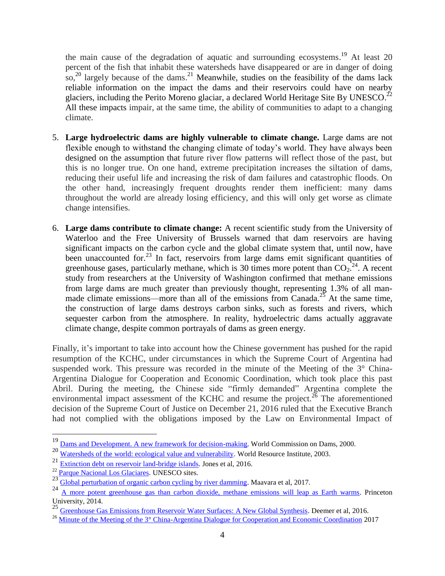the main cause of the degradation of aquatic and surrounding ecosystems.<sup>19</sup> At least 20 percent of the fish that inhabit these watersheds have disappeared or are in danger of doing so,<sup>20</sup> largely because of the dams.<sup>21</sup> Meanwhile, studies on the feasibility of the dams lack reliable information on the impact the dams and their reservoirs could have on nearby glaciers, including the Perito Moreno glaciar, a declared World Heritage Site By UNESCO.<sup>22</sup> All these impacts impair, at the same time, the ability of communities to adapt to a changing climate.

- 5. **Large hydroelectric dams are highly vulnerable to climate change.** Large dams are not flexible enough to withstand the changing climate of today's world. They have always been designed on the assumption that future river flow patterns will reflect those of the past, but this is no longer true. On one hand, extreme precipitation increases the siltation of dams, reducing their useful life and increasing the risk of dam failures and catastrophic floods. On the other hand, increasingly frequent droughts render them inefficient: many dams throughout the world are already losing efficiency, and this will only get worse as climate change intensifies.
- 6. **Large dams contribute to climate change:** A recent scientific study from the University of Waterloo and the Free University of Brussels warned that dam reservoirs are having significant impacts on the carbon cycle and the global climate system that, until now, have been unaccounted for.<sup>23</sup> In fact, reservoirs from large dams emit significant quantities of greenhouse gases, particularly methane, which is 30 times more potent than  $CO_2$ <sup>24</sup>. A recent study from researchers at the University of Washington confirmed that methane emissions from large dams are much greater than previously thought, representing 1.3% of all manmade climate emissions—more than all of the emissions from Canada.<sup>25</sup> At the same time, the construction of large dams destroys carbon sinks, such as forests and rivers, which sequester carbon from the atmosphere. In reality, hydroelectric dams actually aggravate climate change, despite common portrayals of dams as green energy.

Finally, it's important to take into account how the Chinese government has pushed for the rapid resumption of the KCHC, under circumstances in which the Supreme Court of Argentina had suspended work. This pressure was recorded in the minute of the Meeting of the 3° China-Argentina Dialogue for Cooperation and Economic Coordination, which took place this past Abril. During the meeting, the Chinese side "firmly demanded" Argentina complete the environmental impact assessment of the KCHC and resume the project.<sup>26</sup> The aforementioned decision of the Supreme Court of Justice on December 21, 2016 ruled that the Executive Branch had not complied with the obligations imposed by the Law on Environmental Impact of

<sup>&</sup>lt;sup>19</sup> [Dams and Development. A new framework for decision-making.](https://www.internationalrivers.org/sites/default/files/attached-files/world_commission_on_dams_final_report.pdf) World Commission on Dams, 2000.

<sup>20</sup> [Watersheds of the world: ecological value and vulnerability.](http://www.wri.org/publication/watersheds-world) World Resource Institute, 2003.

<sup>21</sup> [Extinction debt on reservoir land-bridge islands.](http://www.sciencedirect.com/science/article/pii/S0006320716301732?via%3Dihub) Jones et al, 2016.

<sup>22</sup> [Parque Nacional Los Glaciares.](http://whc.unesco.org/en/list/145) UNESCO sites.

<sup>23</sup> Global [perturbation of organic carbon cycling by river damming.](https://www.nature.com/articles/ncomms15347) Maavara et al, 2017.

<sup>24</sup> [A more potent greenhouse gas than carbon dioxide, methane emissions will leap as Earth warms.](https://www.sciencedaily.com/releases/2014/03/140327111724.htm) Princeton University, 2014.

<sup>&</sup>lt;sup>25</sup> [Greenhouse Gas Emissions from Reservoir Water Surfaces: A New Global Synthesis.](https://academic.oup.com/bioscience/article/66/11/949/2754271/Greenhouse-Gas-Emissions-from-Reservoir-Water) Deemer et al, 2016.

<sup>&</sup>lt;sup>26</sup> [Minute of the Meeting of the 3° China-Argentina Dialogue for Cooperation and Economic Coordination](https://www.boletinoficial.gob.ar/#!DetalleNorma/163499/20170512) 2017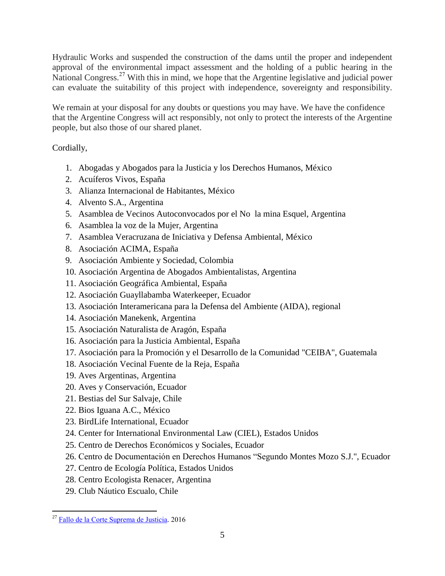Hydraulic Works and suspended the construction of the dams until the proper and independent approval of the environmental impact assessment and the holding of a public hearing in the National Congress.<sup>27</sup> With this in mind, we hope that the Argentine legislative and judicial power can evaluate the suitability of this project with independence, sovereignty and responsibility.

We remain at your disposal for any doubts or questions you may have. We have the confidence that the Argentine Congress will act responsibly, not only to protect the interests of the Argentine people, but also those of our shared planet.

Cordially,

- 1. Abogadas y Abogados para la Justicia y los Derechos Humanos, México
- 2. Acuíferos Vivos, España
- 3. Alianza Internacional de Habitantes, México
- 4. Alvento S.A., Argentina
- 5. Asamblea de Vecinos Autoconvocados por el No la mina Esquel, Argentina
- 6. Asamblea la voz de la Mujer, Argentina
- 7. Asamblea Veracruzana de Iniciativa y Defensa Ambiental, México
- 8. Asociación ACIMA, España
- 9. Asociación Ambiente y Sociedad, Colombia
- 10. Asociación Argentina de Abogados Ambientalistas, Argentina
- 11. Asociación Geográfica Ambiental, España
- 12. Asociación Guayllabamba Waterkeeper, Ecuador
- 13. Asociación Interamericana para la Defensa del Ambiente (AIDA), regional
- 14. Asociación Manekenk, Argentina
- 15. Asociación Naturalista de Aragón, España
- 16. Asociación para la Justicia Ambiental, España
- 17. Asociación para la Promoción y el Desarrollo de la Comunidad "CEIBA", Guatemala
- 18. Asociación Vecinal Fuente de la Reja, España
- 19. Aves Argentinas, Argentina
- 20. Aves y Conservación, Ecuador
- 21. Bestias del Sur Salvaje, Chile
- 22. Bios Iguana A.C., México
- 23. BirdLife International, Ecuador
- 24. Center for International Environmental Law (CIEL), Estados Unidos
- 25. Centro de Derechos Económicos y Sociales, Ecuador
- 26. Centro de Documentación en Derechos Humanos "Segundo Montes Mozo S.J.", Ecuador
- 27. Centro de Ecología Política, Estados Unidos
- 28. Centro Ecologista Renacer, Argentina
- 29. Club Náutico Escualo, Chile

<sup>&</sup>lt;sup>27</sup> [Fallo de la Corte Suprema de Justicia](http://www.cij.gov.ar/nota-24415-La-Corte-Suprema--por-unanimidad--suspendi--provisoriamente-las-obras-de-las-represas--Kirchner--y--Cepernic--en-Santa-Cruz.html). 2016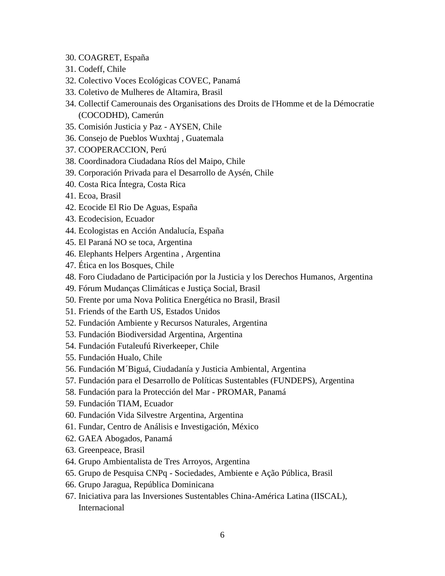- 30. COAGRET, España
- 31. Codeff, Chile
- 32. Colectivo Voces Ecológicas COVEC, Panamá
- 33. Coletivo de Mulheres de Altamira, Brasil
- 34. Collectif Camerounais des Organisations des Droits de l'Homme et de la Démocratie (COCODHD), Camerún
- 35. Comisión Justicia y Paz AYSEN, Chile
- 36. Consejo de Pueblos Wuxhtaj , Guatemala
- 37. COOPERACCION, Perú
- 38. Coordinadora Ciudadana Ríos del Maipo, Chile
- 39. Corporación Privada para el Desarrollo de Aysén, Chile
- 40. Costa Rica Íntegra, Costa Rica
- 41. Ecoa, Brasil
- 42. Ecocide El Rio De Aguas, España
- 43. Ecodecision, Ecuador
- 44. Ecologistas en Acción Andalucía, España
- 45. El Paraná NO se toca, Argentina
- 46. Elephants Helpers Argentina , Argentina
- 47. Ética en los Bosques, Chile
- 48. Foro Ciudadano de Participación por la Justicia y los Derechos Humanos, Argentina
- 49. Fórum Mudanças Climáticas e Justiça Social, Brasil
- 50. Frente por uma Nova Politica Energética no Brasil, Brasil
- 51. Friends of the Earth US, Estados Unidos
- 52. Fundación Ambiente y Recursos Naturales, Argentina
- 53. Fundación Biodiversidad Argentina, Argentina
- 54. Fundación Futaleufú Riverkeeper, Chile
- 55. Fundación Hualo, Chile
- 56. Fundación M´Biguá, Ciudadanía y Justicia Ambiental, Argentina
- 57. Fundación para el Desarrollo de Políticas Sustentables (FUNDEPS), Argentina
- 58. Fundación para la Protección del Mar PROMAR, Panamá
- 59. Fundación TIAM, Ecuador
- 60. Fundación Vida Silvestre Argentina, Argentina
- 61. Fundar, Centro de Análisis e Investigación, México
- 62. GAEA Abogados, Panamá
- 63. Greenpeace, Brasil
- 64. Grupo Ambientalista de Tres Arroyos, Argentina
- 65. Grupo de Pesquisa CNPq Sociedades, Ambiente e Ação Pública, Brasil
- 66. Grupo Jaragua, República Dominicana
- 67. Iniciativa para las Inversiones Sustentables China-América Latina (IISCAL), Internacional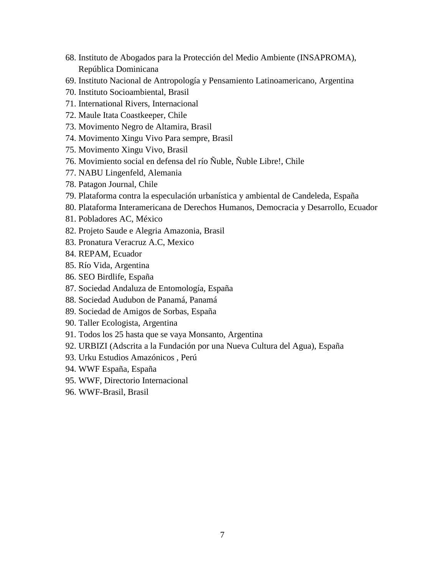- 68. Instituto de Abogados para la Protección del Medio Ambiente (INSAPROMA), República Dominicana
- 69. Instituto Nacional de Antropología y Pensamiento Latinoamericano, Argentina
- 70. Instituto Socioambiental, Brasil
- 71. International Rivers, Internacional
- 72. Maule Itata Coastkeeper, Chile
- 73. Movimento Negro de Altamira, Brasil
- 74. Movimento Xingu Vivo Para sempre, Brasil
- 75. Movimento Xingu Vivo, Brasil
- 76. Movimiento social en defensa del río Ñuble, Ñuble Libre!, Chile
- 77. NABU Lingenfeld, Alemania
- 78. Patagon Journal, Chile
- 79. Plataforma contra la especulación urbanística y ambiental de Candeleda, España
- 80. Plataforma Interamericana de Derechos Humanos, Democracia y Desarrollo, Ecuador
- 81. Pobladores AC, México
- 82. Projeto Saude e Alegria Amazonia, Brasil
- 83. Pronatura Veracruz A.C, Mexico
- 84. REPAM, Ecuador
- 85. Río Vida, Argentina
- 86. SEO Birdlife, España
- 87. Sociedad Andaluza de Entomología, España
- 88. Sociedad Audubon de Panamá, Panamá
- 89. Sociedad de Amigos de Sorbas, España
- 90. Taller Ecologista, Argentina
- 91. Todos los 25 hasta que se vaya Monsanto, Argentina
- 92. URBIZI (Adscrita a la Fundación por una Nueva Cultura del Agua), España
- 93. Urku Estudios Amazónicos , Perú
- 94. WWF España, España
- 95. WWF, Directorio Internacional
- 96. WWF-Brasil, Brasil